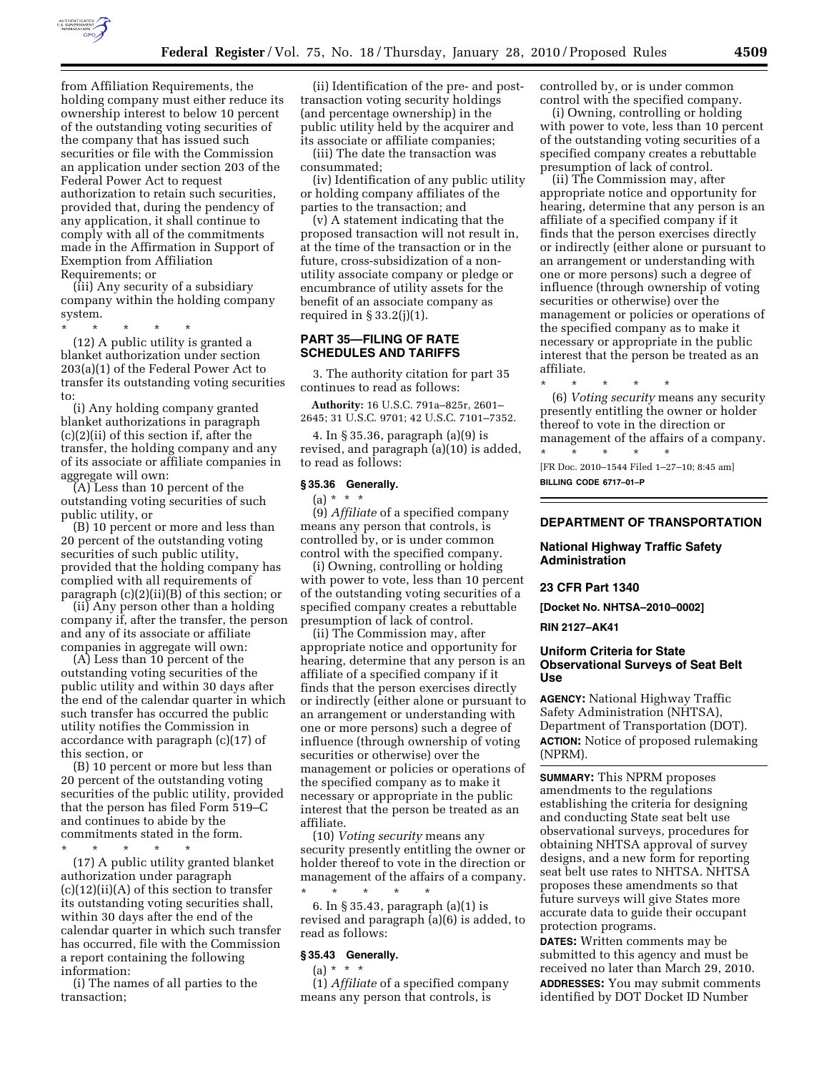

from Affiliation Requirements, the holding company must either reduce its ownership interest to below 10 percent of the outstanding voting securities of the company that has issued such securities or file with the Commission an application under section 203 of the Federal Power Act to request authorization to retain such securities, provided that, during the pendency of any application, it shall continue to comply with all of the commitments made in the Affirmation in Support of Exemption from Affiliation Requirements; or

(iii) Any security of a subsidiary company within the holding company system.

\* \* \* \* \*

(12) A public utility is granted a blanket authorization under section 203(a)(1) of the Federal Power Act to transfer its outstanding voting securities to:

(i) Any holding company granted blanket authorizations in paragraph (c)(2)(ii) of this section if, after the transfer, the holding company and any of its associate or affiliate companies in aggregate will own:

(A) Less than 10 percent of the outstanding voting securities of such public utility, or

(B) 10 percent or more and less than 20 percent of the outstanding voting securities of such public utility, provided that the holding company has complied with all requirements of paragraph (c)(2)(ii)(B) of this section; or

(ii) Any person other than a holding company if, after the transfer, the person and any of its associate or affiliate companies in aggregate will own:

(A) Less than 10 percent of the outstanding voting securities of the public utility and within 30 days after the end of the calendar quarter in which such transfer has occurred the public utility notifies the Commission in accordance with paragraph (c)(17) of this section, or

(B) 10 percent or more but less than 20 percent of the outstanding voting securities of the public utility, provided that the person has filed Form 519–C and continues to abide by the commitments stated in the form.

\* \* \* \* \*

(17) A public utility granted blanket authorization under paragraph  $(c)(12)(ii)(A)$  of this section to transfer its outstanding voting securities shall, within 30 days after the end of the calendar quarter in which such transfer has occurred, file with the Commission a report containing the following information:

(i) The names of all parties to the transaction;

(ii) Identification of the pre- and posttransaction voting security holdings (and percentage ownership) in the public utility held by the acquirer and its associate or affiliate companies;

(iii) The date the transaction was consummated;

(iv) Identification of any public utility or holding company affiliates of the parties to the transaction; and

(v) A statement indicating that the proposed transaction will not result in, at the time of the transaction or in the future, cross-subsidization of a nonutility associate company or pledge or encumbrance of utility assets for the benefit of an associate company as required in  $\S 33.2(j)(1)$ .

## **PART 35—FILING OF RATE SCHEDULES AND TARIFFS**

3. The authority citation for part 35 continues to read as follows:

**Authority:** 16 U.S.C. 791a–825r, 2601– 2645; 31 U.S.C. 9701; 42 U.S.C. 7101–7352.

4. In § 35.36, paragraph (a)(9) is revised, and paragraph (a)(10) is added, to read as follows:

# **§ 35.36 Generally.**

 $(a) * * * *$ 

(9) *Affiliate* of a specified company means any person that controls, is controlled by, or is under common control with the specified company.

(i) Owning, controlling or holding with power to vote, less than 10 percent of the outstanding voting securities of a specified company creates a rebuttable presumption of lack of control.

(ii) The Commission may, after appropriate notice and opportunity for hearing, determine that any person is an affiliate of a specified company if it finds that the person exercises directly or indirectly (either alone or pursuant to an arrangement or understanding with one or more persons) such a degree of influence (through ownership of voting securities or otherwise) over the management or policies or operations of the specified company as to make it necessary or appropriate in the public interest that the person be treated as an affiliate.

(10) *Voting security* means any security presently entitling the owner or holder thereof to vote in the direction or management of the affairs of a company. \* \* \* \* \*

6. In § 35.43, paragraph (a)(1) is revised and paragraph (a)(6) is added, to read as follows:

# **§ 35.43 Generally.**

 $(a) * * * *$ 

(1) *Affiliate* of a specified company means any person that controls, is

controlled by, or is under common control with the specified company.

(i) Owning, controlling or holding with power to vote, less than 10 percent of the outstanding voting securities of a specified company creates a rebuttable presumption of lack of control.

(ii) The Commission may, after appropriate notice and opportunity for hearing, determine that any person is an affiliate of a specified company if it finds that the person exercises directly or indirectly (either alone or pursuant to an arrangement or understanding with one or more persons) such a degree of influence (through ownership of voting securities or otherwise) over the management or policies or operations of the specified company as to make it necessary or appropriate in the public interest that the person be treated as an affiliate.

\* \* \* \* \* (6) *Voting security* means any security presently entitling the owner or holder thereof to vote in the direction or management of the affairs of a company.

\* \* \* \* \* [FR Doc. 2010–1544 Filed 1–27–10; 8:45 am] **BILLING CODE 6717–01–P** 

## **DEPARTMENT OF TRANSPORTATION**

# **National Highway Traffic Safety Administration**

# **23 CFR Part 1340**

**[Docket No. NHTSA–2010–0002] RIN 2127–AK41** 

# **Uniform Criteria for State Observational Surveys of Seat Belt Use**

**AGENCY:** National Highway Traffic Safety Administration (NHTSA), Department of Transportation (DOT). **ACTION:** Notice of proposed rulemaking (NPRM).

**SUMMARY:** This NPRM proposes amendments to the regulations establishing the criteria for designing and conducting State seat belt use observational surveys, procedures for obtaining NHTSA approval of survey designs, and a new form for reporting seat belt use rates to NHTSA. NHTSA proposes these amendments so that future surveys will give States more accurate data to guide their occupant protection programs.

**DATES:** Written comments may be submitted to this agency and must be received no later than March 29, 2010. **ADDRESSES:** You may submit comments identified by DOT Docket ID Number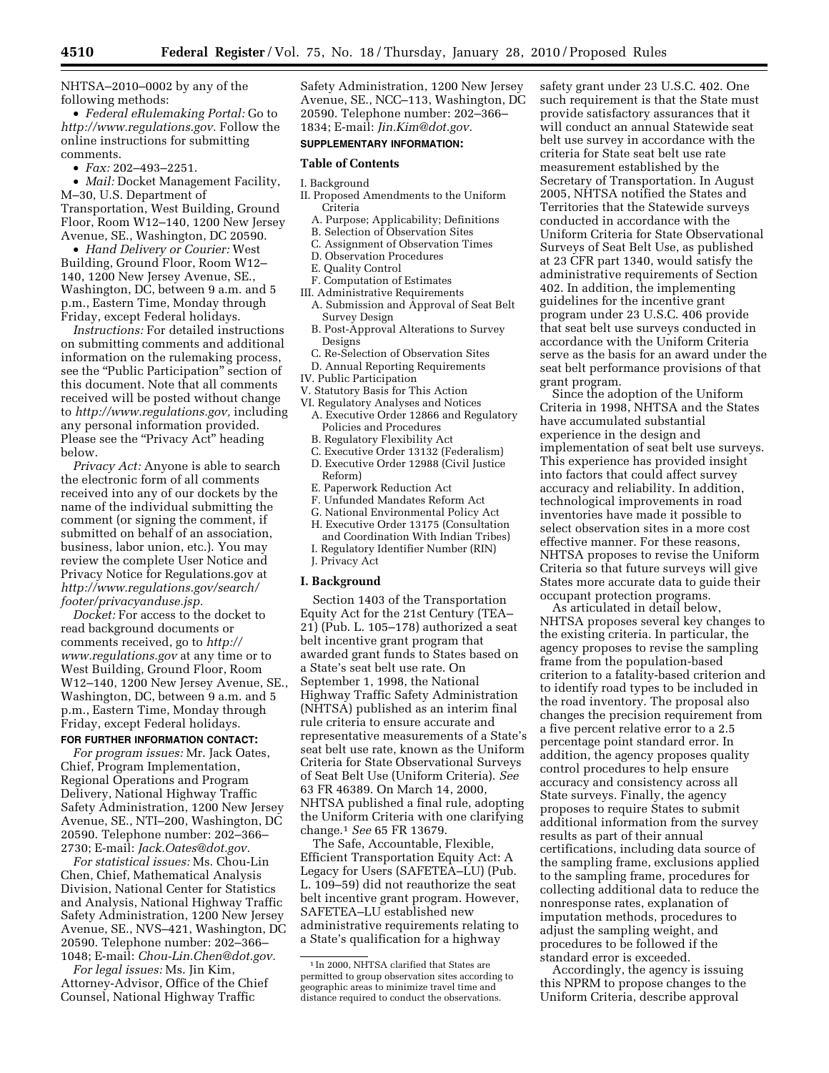NHTSA–2010–0002 by any of the following methods:

• *Federal eRulemaking Portal:* Go to *http://www.regulations.gov.* Follow the online instructions for submitting comments.

• *Fax:* 202–493–2251.

• *Mail:* Docket Management Facility, M–30, U.S. Department of Transportation, West Building, Ground Floor, Room W12–140, 1200 New Jersey Avenue, SE., Washington, DC 20590.

• *Hand Delivery or Courier:* West Building, Ground Floor, Room W12– 140, 1200 New Jersey Avenue, SE., Washington, DC, between 9 a.m. and 5 p.m., Eastern Time, Monday through Friday, except Federal holidays.

*Instructions:* For detailed instructions on submitting comments and additional information on the rulemaking process, see the "Public Participation" section of this document. Note that all comments received will be posted without change to *http://www.regulations.gov,* including any personal information provided. Please see the "Privacy Act" heading below.

*Privacy Act:* Anyone is able to search the electronic form of all comments received into any of our dockets by the name of the individual submitting the comment (or signing the comment, if submitted on behalf of an association, business, labor union, etc.). You may review the complete User Notice and Privacy Notice for Regulations.gov at *http://www.regulations.gov/search/ footer/privacyanduse.jsp.* 

*Docket:* For access to the docket to read background documents or comments received, go to *http:// www.regulations.gov* at any time or to West Building, Ground Floor, Room W12–140, 1200 New Jersey Avenue, SE., Washington, DC, between 9 a.m. and 5 p.m., Eastern Time, Monday through Friday, except Federal holidays.

## **FOR FURTHER INFORMATION CONTACT:**

*For program issues:* Mr. Jack Oates, Chief, Program Implementation, Regional Operations and Program Delivery, National Highway Traffic Safety Administration, 1200 New Jersey Avenue, SE., NTI–200, Washington, DC 20590. Telephone number: 202–366– 2730; E-mail: *Jack.Oates@dot.gov.* 

*For statistical issues:* Ms. Chou-Lin Chen, Chief, Mathematical Analysis Division, National Center for Statistics and Analysis, National Highway Traffic Safety Administration, 1200 New Jersey Avenue, SE., NVS–421, Washington, DC 20590. Telephone number: 202–366– 1048; E-mail: *Chou-Lin.Chen@dot.gov.* 

*For legal issues:* Ms. Jin Kim, Attorney-Advisor, Office of the Chief Counsel, National Highway Traffic

Safety Administration, 1200 New Jersey Avenue, SE., NCC–113, Washington, DC 20590. Telephone number: 202–366– 1834; E-mail: *Jin.Kim@dot.gov.* 

# **SUPPLEMENTARY INFORMATION:**

## **Table of Contents**

#### I. Background

- II. Proposed Amendments to the Uniform Criteria
	- A. Purpose; Applicability; Definitions
	- B. Selection of Observation Sites C. Assignment of Observation Times
	- D. Observation Procedures
	-
	- E. Quality Control
	- F. Computation of Estimates
- III. Administrative Requirements A. Submission and Approval of Seat Belt Survey Design
	- B. Post-Approval Alterations to Survey Designs
- C. Re-Selection of Observation Sites
- D. Annual Reporting Requirements
- IV. Public Participation
- V. Statutory Basis for This Action
- VI. Regulatory Analyses and Notices
- A. Executive Order 12866 and Regulatory Policies and Procedures
- B. Regulatory Flexibility Act
- C. Executive Order 13132 (Federalism) D. Executive Order 12988 (Civil Justice Reform)
- E. Paperwork Reduction Act
- F. Unfunded Mandates Reform Act
- G. National Environmental Policy Act
- H. Executive Order 13175 (Consultation
- and Coordination With Indian Tribes)
- I. Regulatory Identifier Number (RIN) J. Privacy Act

#### **I. Background**

Section 1403 of the Transportation Equity Act for the 21st Century (TEA– 21) (Pub. L. 105–178) authorized a seat belt incentive grant program that awarded grant funds to States based on a State's seat belt use rate. On September 1, 1998, the National Highway Traffic Safety Administration (NHTSA) published as an interim final rule criteria to ensure accurate and representative measurements of a State's seat belt use rate, known as the Uniform Criteria for State Observational Surveys of Seat Belt Use (Uniform Criteria). *See*  63 FR 46389. On March 14, 2000, NHTSA published a final rule, adopting the Uniform Criteria with one clarifying change.1 *See* 65 FR 13679.

The Safe, Accountable, Flexible, Efficient Transportation Equity Act: A Legacy for Users (SAFETEA–LU) (Pub. L. 109–59) did not reauthorize the seat belt incentive grant program. However, SAFETEA–LU established new administrative requirements relating to a State's qualification for a highway

safety grant under 23 U.S.C. 402. One such requirement is that the State must provide satisfactory assurances that it will conduct an annual Statewide seat belt use survey in accordance with the criteria for State seat belt use rate measurement established by the Secretary of Transportation. In August 2005, NHTSA notified the States and Territories that the Statewide surveys conducted in accordance with the Uniform Criteria for State Observational Surveys of Seat Belt Use, as published at 23 CFR part 1340, would satisfy the administrative requirements of Section 402. In addition, the implementing guidelines for the incentive grant program under 23 U.S.C. 406 provide that seat belt use surveys conducted in accordance with the Uniform Criteria serve as the basis for an award under the seat belt performance provisions of that grant program.

Since the adoption of the Uniform Criteria in 1998, NHTSA and the States have accumulated substantial experience in the design and implementation of seat belt use surveys. This experience has provided insight into factors that could affect survey accuracy and reliability. In addition, technological improvements in road inventories have made it possible to select observation sites in a more cost effective manner. For these reasons, NHTSA proposes to revise the Uniform Criteria so that future surveys will give States more accurate data to guide their occupant protection programs.

As articulated in detail below, NHTSA proposes several key changes to the existing criteria. In particular, the agency proposes to revise the sampling frame from the population-based criterion to a fatality-based criterion and to identify road types to be included in the road inventory. The proposal also changes the precision requirement from a five percent relative error to a 2.5 percentage point standard error. In addition, the agency proposes quality control procedures to help ensure accuracy and consistency across all State surveys. Finally, the agency proposes to require States to submit additional information from the survey results as part of their annual certifications, including data source of the sampling frame, exclusions applied to the sampling frame, procedures for collecting additional data to reduce the nonresponse rates, explanation of imputation methods, procedures to adjust the sampling weight, and procedures to be followed if the standard error is exceeded.

Accordingly, the agency is issuing this NPRM to propose changes to the Uniform Criteria, describe approval

<sup>1</sup> In 2000, NHTSA clarified that States are permitted to group observation sites according to geographic areas to minimize travel time and distance required to conduct the observations.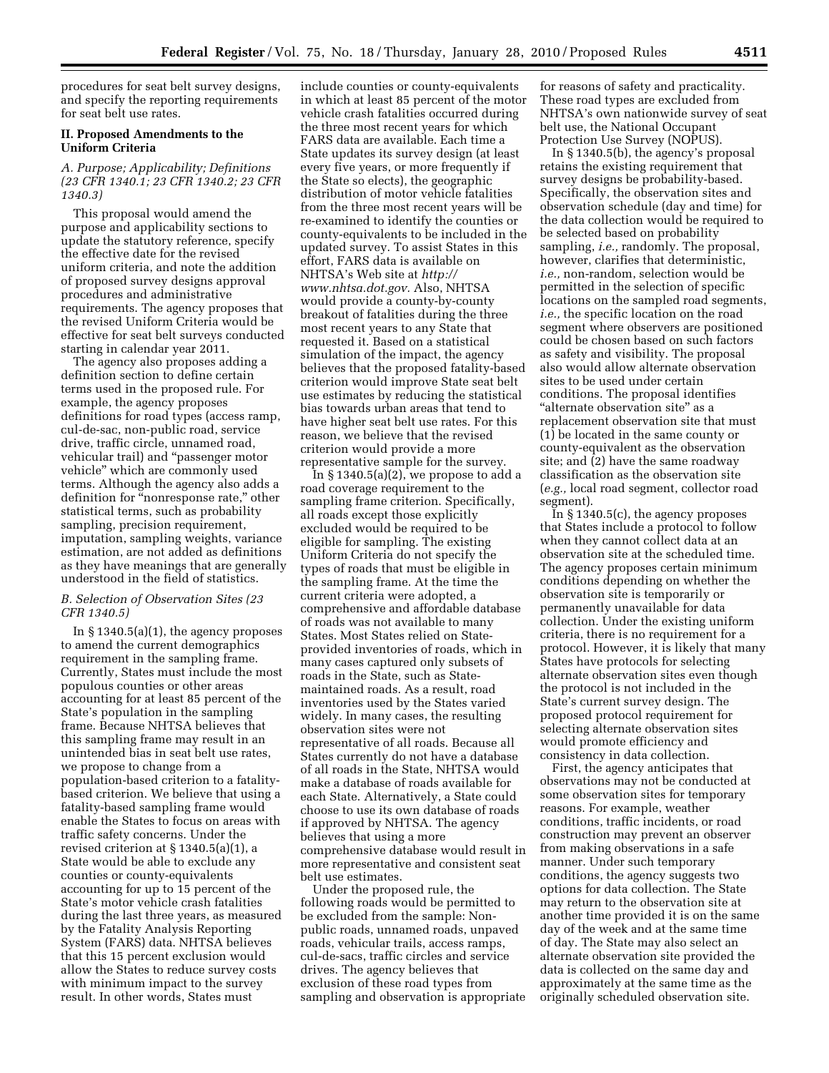procedures for seat belt survey designs, and specify the reporting requirements for seat belt use rates.

## **II. Proposed Amendments to the Uniform Criteria**

# *A. Purpose; Applicability; Definitions (23 CFR 1340.1; 23 CFR 1340.2; 23 CFR 1340.3)*

This proposal would amend the purpose and applicability sections to update the statutory reference, specify the effective date for the revised uniform criteria, and note the addition of proposed survey designs approval procedures and administrative requirements. The agency proposes that the revised Uniform Criteria would be effective for seat belt surveys conducted starting in calendar year 2011.

The agency also proposes adding a definition section to define certain terms used in the proposed rule. For example, the agency proposes definitions for road types (access ramp, cul-de-sac, non-public road, service drive, traffic circle, unnamed road, vehicular trail) and ''passenger motor vehicle'' which are commonly used terms. Although the agency also adds a definition for "nonresponse rate," other statistical terms, such as probability sampling, precision requirement, imputation, sampling weights, variance estimation, are not added as definitions as they have meanings that are generally understood in the field of statistics.

## *B. Selection of Observation Sites (23 CFR 1340.5)*

In  $\S 1340.5(a)(1)$ , the agency proposes to amend the current demographics requirement in the sampling frame. Currently, States must include the most populous counties or other areas accounting for at least 85 percent of the State's population in the sampling frame. Because NHTSA believes that this sampling frame may result in an unintended bias in seat belt use rates, we propose to change from a population-based criterion to a fatalitybased criterion. We believe that using a fatality-based sampling frame would enable the States to focus on areas with traffic safety concerns. Under the revised criterion at § 1340.5(a)(1), a State would be able to exclude any counties or county-equivalents accounting for up to 15 percent of the State's motor vehicle crash fatalities during the last three years, as measured by the Fatality Analysis Reporting System (FARS) data. NHTSA believes that this 15 percent exclusion would allow the States to reduce survey costs with minimum impact to the survey result. In other words, States must

include counties or county-equivalents in which at least 85 percent of the motor vehicle crash fatalities occurred during the three most recent years for which FARS data are available. Each time a State updates its survey design (at least every five years, or more frequently if the State so elects), the geographic distribution of motor vehicle fatalities from the three most recent years will be re-examined to identify the counties or county-equivalents to be included in the updated survey. To assist States in this effort, FARS data is available on NHTSA's Web site at *http:// www.nhtsa.dot.gov.* Also, NHTSA would provide a county-by-county breakout of fatalities during the three most recent years to any State that requested it. Based on a statistical simulation of the impact, the agency believes that the proposed fatality-based criterion would improve State seat belt use estimates by reducing the statistical bias towards urban areas that tend to have higher seat belt use rates. For this reason, we believe that the revised criterion would provide a more representative sample for the survey.

In  $\S 1340.5(a)(2)$ , we propose to add a road coverage requirement to the sampling frame criterion. Specifically, all roads except those explicitly excluded would be required to be eligible for sampling. The existing Uniform Criteria do not specify the types of roads that must be eligible in the sampling frame. At the time the current criteria were adopted, a comprehensive and affordable database of roads was not available to many States. Most States relied on Stateprovided inventories of roads, which in many cases captured only subsets of roads in the State, such as Statemaintained roads. As a result, road inventories used by the States varied widely. In many cases, the resulting observation sites were not representative of all roads. Because all States currently do not have a database of all roads in the State, NHTSA would make a database of roads available for each State. Alternatively, a State could choose to use its own database of roads if approved by NHTSA. The agency believes that using a more comprehensive database would result in more representative and consistent seat belt use estimates.

Under the proposed rule, the following roads would be permitted to be excluded from the sample: Nonpublic roads, unnamed roads, unpaved roads, vehicular trails, access ramps, cul-de-sacs, traffic circles and service drives. The agency believes that exclusion of these road types from sampling and observation is appropriate

for reasons of safety and practicality. These road types are excluded from NHTSA's own nationwide survey of seat belt use, the National Occupant Protection Use Survey (NOPUS).

In § 1340.5(b), the agency's proposal retains the existing requirement that survey designs be probability-based. Specifically, the observation sites and observation schedule (day and time) for the data collection would be required to be selected based on probability sampling, *i.e.,* randomly. The proposal, however, clarifies that deterministic, *i.e.,* non-random, selection would be permitted in the selection of specific locations on the sampled road segments, *i.e.,* the specific location on the road segment where observers are positioned could be chosen based on such factors as safety and visibility. The proposal also would allow alternate observation sites to be used under certain conditions. The proposal identifies "alternate observation site" as a replacement observation site that must (1) be located in the same county or county-equivalent as the observation site; and (2) have the same roadway classification as the observation site (*e.g.,* local road segment, collector road segment).

In  $\S 1340.5(c)$ , the agency proposes that States include a protocol to follow when they cannot collect data at an observation site at the scheduled time. The agency proposes certain minimum conditions depending on whether the observation site is temporarily or permanently unavailable for data collection. Under the existing uniform criteria, there is no requirement for a protocol. However, it is likely that many States have protocols for selecting alternate observation sites even though the protocol is not included in the State's current survey design. The proposed protocol requirement for selecting alternate observation sites would promote efficiency and consistency in data collection.

First, the agency anticipates that observations may not be conducted at some observation sites for temporary reasons. For example, weather conditions, traffic incidents, or road construction may prevent an observer from making observations in a safe manner. Under such temporary conditions, the agency suggests two options for data collection. The State may return to the observation site at another time provided it is on the same day of the week and at the same time of day. The State may also select an alternate observation site provided the data is collected on the same day and approximately at the same time as the originally scheduled observation site.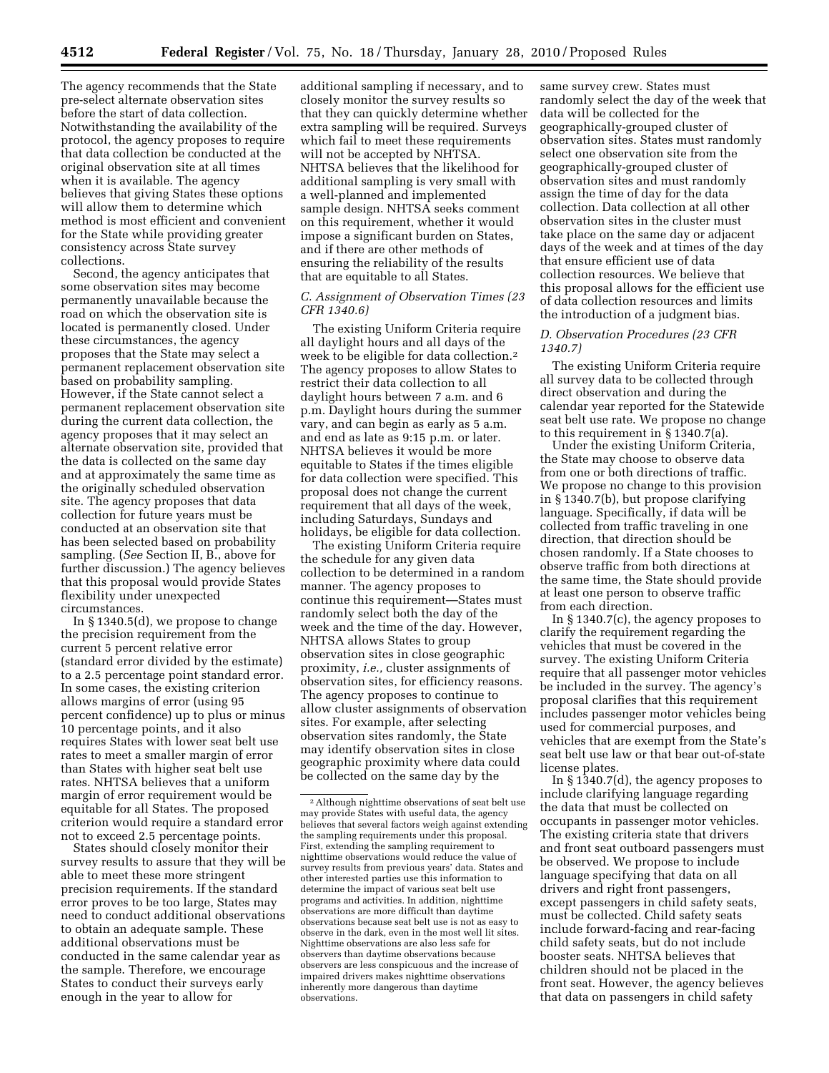The agency recommends that the State pre-select alternate observation sites before the start of data collection. Notwithstanding the availability of the protocol, the agency proposes to require that data collection be conducted at the original observation site at all times when it is available. The agency believes that giving States these options will allow them to determine which method is most efficient and convenient for the State while providing greater consistency across State survey collections.

Second, the agency anticipates that some observation sites may become permanently unavailable because the road on which the observation site is located is permanently closed. Under these circumstances, the agency proposes that the State may select a permanent replacement observation site based on probability sampling. However, if the State cannot select a permanent replacement observation site during the current data collection, the agency proposes that it may select an alternate observation site, provided that the data is collected on the same day and at approximately the same time as the originally scheduled observation site. The agency proposes that data collection for future years must be conducted at an observation site that has been selected based on probability sampling. (*See* Section II, B., above for further discussion.) The agency believes that this proposal would provide States flexibility under unexpected circumstances.

In § 1340.5(d), we propose to change the precision requirement from the current 5 percent relative error (standard error divided by the estimate) to a 2.5 percentage point standard error. In some cases, the existing criterion allows margins of error (using 95 percent confidence) up to plus or minus 10 percentage points, and it also requires States with lower seat belt use rates to meet a smaller margin of error than States with higher seat belt use rates. NHTSA believes that a uniform margin of error requirement would be equitable for all States. The proposed criterion would require a standard error not to exceed 2.5 percentage points.

States should closely monitor their survey results to assure that they will be able to meet these more stringent precision requirements. If the standard error proves to be too large, States may need to conduct additional observations to obtain an adequate sample. These additional observations must be conducted in the same calendar year as the sample. Therefore, we encourage States to conduct their surveys early enough in the year to allow for

additional sampling if necessary, and to closely monitor the survey results so that they can quickly determine whether extra sampling will be required. Surveys which fail to meet these requirements will not be accepted by NHTSA. NHTSA believes that the likelihood for additional sampling is very small with a well-planned and implemented sample design. NHTSA seeks comment on this requirement, whether it would impose a significant burden on States, and if there are other methods of ensuring the reliability of the results that are equitable to all States.

# *C. Assignment of Observation Times (23 CFR 1340.6)*

The existing Uniform Criteria require all daylight hours and all days of the week to be eligible for data collection.2 The agency proposes to allow States to restrict their data collection to all daylight hours between 7 a.m. and 6 p.m. Daylight hours during the summer vary, and can begin as early as 5 a.m. and end as late as 9:15 p.m. or later. NHTSA believes it would be more equitable to States if the times eligible for data collection were specified. This proposal does not change the current requirement that all days of the week, including Saturdays, Sundays and holidays, be eligible for data collection.

The existing Uniform Criteria require the schedule for any given data collection to be determined in a random manner. The agency proposes to continue this requirement—States must randomly select both the day of the week and the time of the day. However, NHTSA allows States to group observation sites in close geographic proximity, *i.e.,* cluster assignments of observation sites, for efficiency reasons. The agency proposes to continue to allow cluster assignments of observation sites. For example, after selecting observation sites randomly, the State may identify observation sites in close geographic proximity where data could be collected on the same day by the

same survey crew. States must randomly select the day of the week that data will be collected for the geographically-grouped cluster of observation sites. States must randomly select one observation site from the geographically-grouped cluster of observation sites and must randomly assign the time of day for the data collection. Data collection at all other observation sites in the cluster must take place on the same day or adjacent days of the week and at times of the day that ensure efficient use of data collection resources. We believe that this proposal allows for the efficient use of data collection resources and limits the introduction of a judgment bias.

# *D. Observation Procedures (23 CFR 1340.7)*

The existing Uniform Criteria require all survey data to be collected through direct observation and during the calendar year reported for the Statewide seat belt use rate. We propose no change to this requirement in § 1340.7(a).

Under the existing Uniform Criteria, the State may choose to observe data from one or both directions of traffic. We propose no change to this provision in § 1340.7(b), but propose clarifying language. Specifically, if data will be collected from traffic traveling in one direction, that direction should be chosen randomly. If a State chooses to observe traffic from both directions at the same time, the State should provide at least one person to observe traffic from each direction.

In § 1340.7(c), the agency proposes to clarify the requirement regarding the vehicles that must be covered in the survey. The existing Uniform Criteria require that all passenger motor vehicles be included in the survey. The agency's proposal clarifies that this requirement includes passenger motor vehicles being used for commercial purposes, and vehicles that are exempt from the State's seat belt use law or that bear out-of-state license plates.

In § 1340.7(d), the agency proposes to include clarifying language regarding the data that must be collected on occupants in passenger motor vehicles. The existing criteria state that drivers and front seat outboard passengers must be observed. We propose to include language specifying that data on all drivers and right front passengers, except passengers in child safety seats, must be collected. Child safety seats include forward-facing and rear-facing child safety seats, but do not include booster seats. NHTSA believes that children should not be placed in the front seat. However, the agency believes that data on passengers in child safety

<sup>2</sup>Although nighttime observations of seat belt use may provide States with useful data, the agency believes that several factors weigh against extending the sampling requirements under this proposal. First, extending the sampling requirement to nighttime observations would reduce the value of survey results from previous years' data. States and other interested parties use this information to determine the impact of various seat belt use programs and activities. In addition, nighttime observations are more difficult than daytime observations because seat belt use is not as easy to observe in the dark, even in the most well lit sites. Nighttime observations are also less safe for observers than daytime observations because observers are less conspicuous and the increase of impaired drivers makes nighttime observations inherently more dangerous than daytime observations.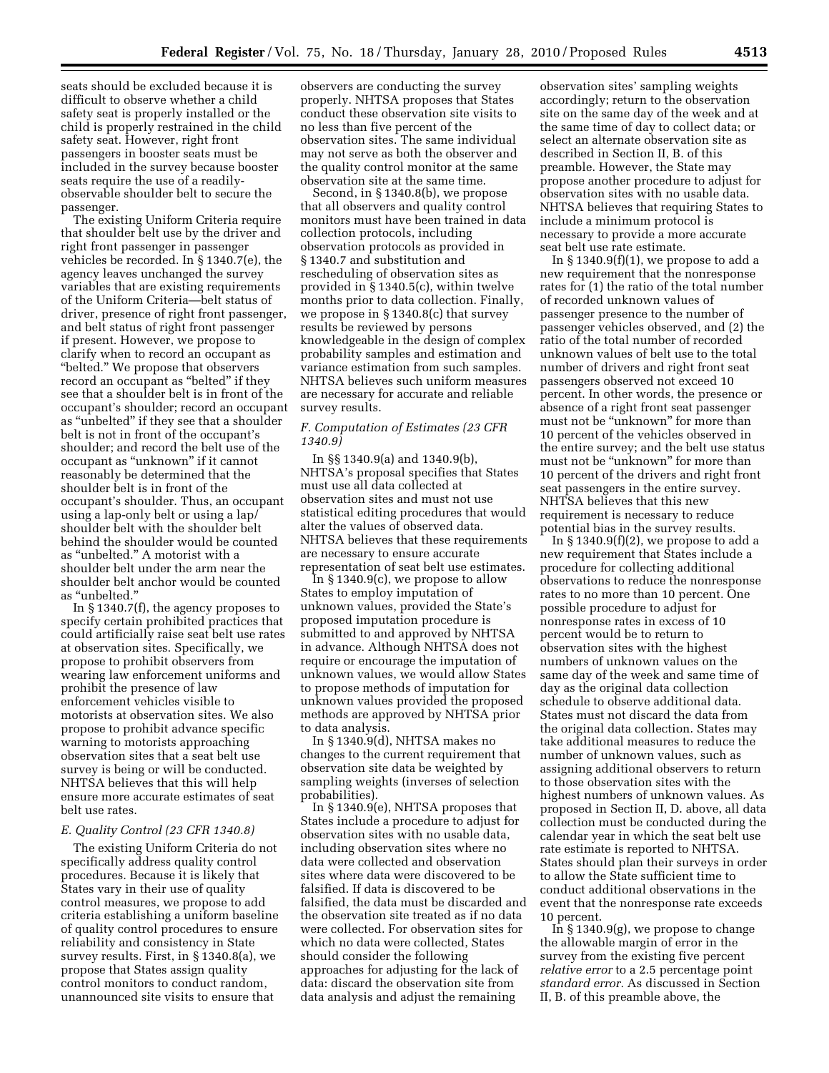seats should be excluded because it is difficult to observe whether a child safety seat is properly installed or the child is properly restrained in the child safety seat. However, right front passengers in booster seats must be included in the survey because booster seats require the use of a readilyobservable shoulder belt to secure the passenger.

The existing Uniform Criteria require that shoulder belt use by the driver and right front passenger in passenger vehicles be recorded. In § 1340.7(e), the agency leaves unchanged the survey variables that are existing requirements of the Uniform Criteria—belt status of driver, presence of right front passenger, and belt status of right front passenger if present. However, we propose to clarify when to record an occupant as "belted." We propose that observers record an occupant as ''belted'' if they see that a shoulder belt is in front of the occupant's shoulder; record an occupant as ''unbelted'' if they see that a shoulder belt is not in front of the occupant's shoulder; and record the belt use of the occupant as ''unknown'' if it cannot reasonably be determined that the shoulder belt is in front of the occupant's shoulder. Thus, an occupant using a lap-only belt or using a lap/ shoulder belt with the shoulder belt behind the shoulder would be counted as ''unbelted.'' A motorist with a shoulder belt under the arm near the shoulder belt anchor would be counted as ''unbelted.''

In § 1340.7(f), the agency proposes to specify certain prohibited practices that could artificially raise seat belt use rates at observation sites. Specifically, we propose to prohibit observers from wearing law enforcement uniforms and prohibit the presence of law enforcement vehicles visible to motorists at observation sites. We also propose to prohibit advance specific warning to motorists approaching observation sites that a seat belt use survey is being or will be conducted. NHTSA believes that this will help ensure more accurate estimates of seat belt use rates.

## *E. Quality Control (23 CFR 1340.8)*

The existing Uniform Criteria do not specifically address quality control procedures. Because it is likely that States vary in their use of quality control measures, we propose to add criteria establishing a uniform baseline of quality control procedures to ensure reliability and consistency in State survey results. First, in § 1340.8(a), we propose that States assign quality control monitors to conduct random, unannounced site visits to ensure that

observers are conducting the survey properly. NHTSA proposes that States conduct these observation site visits to no less than five percent of the observation sites. The same individual may not serve as both the observer and the quality control monitor at the same observation site at the same time.

Second, in § 1340.8(b), we propose that all observers and quality control monitors must have been trained in data collection protocols, including observation protocols as provided in § 1340.7 and substitution and rescheduling of observation sites as provided in § 1340.5(c), within twelve months prior to data collection. Finally, we propose in § 1340.8(c) that survey results be reviewed by persons knowledgeable in the design of complex probability samples and estimation and variance estimation from such samples. NHTSA believes such uniform measures are necessary for accurate and reliable survey results.

## *F. Computation of Estimates (23 CFR 1340.9)*

In §§ 1340.9(a) and 1340.9(b), NHTSA's proposal specifies that States must use all data collected at observation sites and must not use statistical editing procedures that would alter the values of observed data. NHTSA believes that these requirements are necessary to ensure accurate representation of seat belt use estimates.

In §1340.9(c), we propose to allow States to employ imputation of unknown values, provided the State's proposed imputation procedure is submitted to and approved by NHTSA in advance. Although NHTSA does not require or encourage the imputation of unknown values, we would allow States to propose methods of imputation for unknown values provided the proposed methods are approved by NHTSA prior to data analysis.

In § 1340.9(d), NHTSA makes no changes to the current requirement that observation site data be weighted by sampling weights (inverses of selection probabilities).

In § 1340.9(e), NHTSA proposes that States include a procedure to adjust for observation sites with no usable data, including observation sites where no data were collected and observation sites where data were discovered to be falsified. If data is discovered to be falsified, the data must be discarded and the observation site treated as if no data were collected. For observation sites for which no data were collected, States should consider the following approaches for adjusting for the lack of data: discard the observation site from data analysis and adjust the remaining

observation sites' sampling weights accordingly; return to the observation site on the same day of the week and at the same time of day to collect data; or select an alternate observation site as described in Section II, B. of this preamble. However, the State may propose another procedure to adjust for observation sites with no usable data. NHTSA believes that requiring States to include a minimum protocol is necessary to provide a more accurate seat belt use rate estimate.

In  $\S 1340.9(f)(1)$ , we propose to add a new requirement that the nonresponse rates for (1) the ratio of the total number of recorded unknown values of passenger presence to the number of passenger vehicles observed, and (2) the ratio of the total number of recorded unknown values of belt use to the total number of drivers and right front seat passengers observed not exceed 10 percent. In other words, the presence or absence of a right front seat passenger must not be "unknown" for more than 10 percent of the vehicles observed in the entire survey; and the belt use status must not be "unknown" for more than 10 percent of the drivers and right front seat passengers in the entire survey. NHTSA believes that this new requirement is necessary to reduce potential bias in the survey results.

In  $\S 1340.9(f)(2)$ , we propose to add a new requirement that States include a procedure for collecting additional observations to reduce the nonresponse rates to no more than 10 percent. One possible procedure to adjust for nonresponse rates in excess of 10 percent would be to return to observation sites with the highest numbers of unknown values on the same day of the week and same time of day as the original data collection schedule to observe additional data. States must not discard the data from the original data collection. States may take additional measures to reduce the number of unknown values, such as assigning additional observers to return to those observation sites with the highest numbers of unknown values. As proposed in Section II, D. above, all data collection must be conducted during the calendar year in which the seat belt use rate estimate is reported to NHTSA. States should plan their surveys in order to allow the State sufficient time to conduct additional observations in the event that the nonresponse rate exceeds 10 percent.

In § 1340.9(g), we propose to change the allowable margin of error in the survey from the existing five percent *relative error* to a 2.5 percentage point *standard error.* As discussed in Section II, B. of this preamble above, the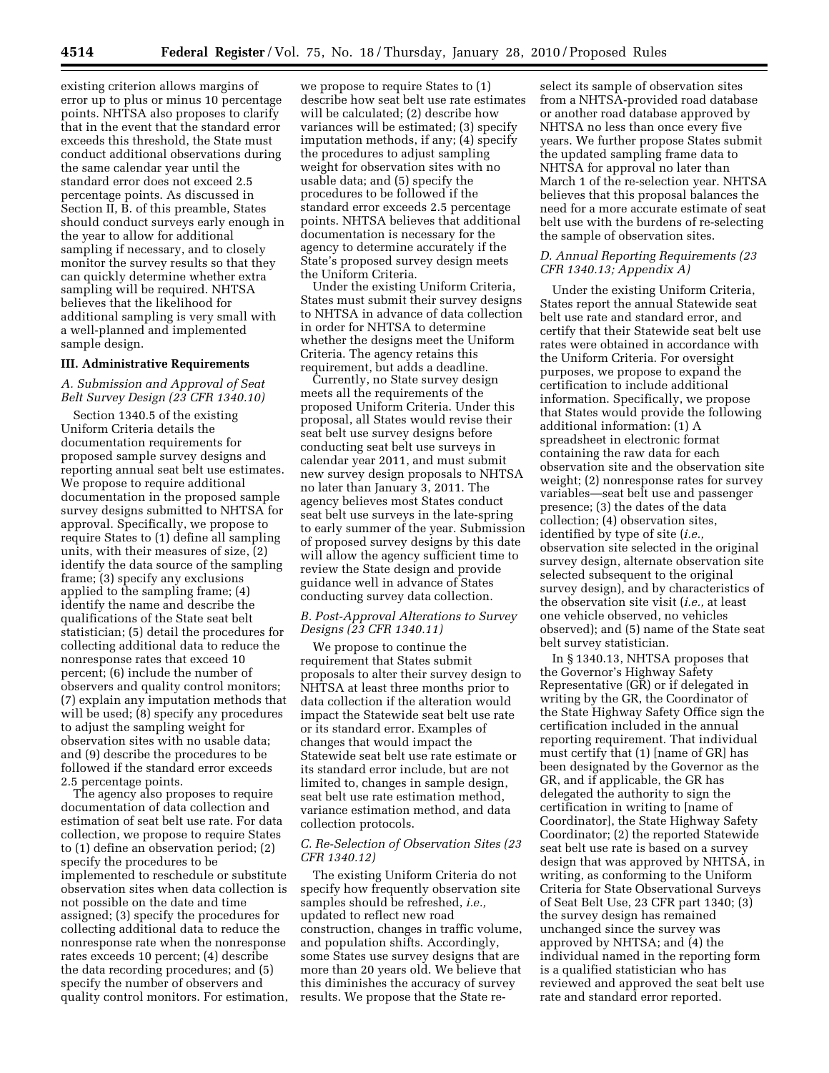existing criterion allows margins of error up to plus or minus 10 percentage points. NHTSA also proposes to clarify that in the event that the standard error exceeds this threshold, the State must conduct additional observations during the same calendar year until the standard error does not exceed 2.5 percentage points. As discussed in Section II, B. of this preamble, States should conduct surveys early enough in the year to allow for additional sampling if necessary, and to closely monitor the survey results so that they can quickly determine whether extra sampling will be required. NHTSA believes that the likelihood for additional sampling is very small with a well-planned and implemented sample design.

## **III. Administrative Requirements**

# *A. Submission and Approval of Seat Belt Survey Design (23 CFR 1340.10)*

Section 1340.5 of the existing Uniform Criteria details the documentation requirements for proposed sample survey designs and reporting annual seat belt use estimates. We propose to require additional documentation in the proposed sample survey designs submitted to NHTSA for approval. Specifically, we propose to require States to (1) define all sampling units, with their measures of size, (2) identify the data source of the sampling frame; (3) specify any exclusions applied to the sampling frame; (4) identify the name and describe the qualifications of the State seat belt statistician; (5) detail the procedures for collecting additional data to reduce the nonresponse rates that exceed 10 percent; (6) include the number of observers and quality control monitors; (7) explain any imputation methods that will be used; (8) specify any procedures to adjust the sampling weight for observation sites with no usable data; and (9) describe the procedures to be followed if the standard error exceeds 2.5 percentage points.

The agency also proposes to require documentation of data collection and estimation of seat belt use rate. For data collection, we propose to require States to (1) define an observation period; (2) specify the procedures to be implemented to reschedule or substitute observation sites when data collection is not possible on the date and time assigned; (3) specify the procedures for collecting additional data to reduce the nonresponse rate when the nonresponse rates exceeds 10 percent; (4) describe the data recording procedures; and (5) specify the number of observers and quality control monitors. For estimation, we propose to require States to (1) describe how seat belt use rate estimates will be calculated; (2) describe how variances will be estimated; (3) specify imputation methods, if any; (4) specify the procedures to adjust sampling weight for observation sites with no usable data; and (5) specify the procedures to be followed if the standard error exceeds 2.5 percentage points. NHTSA believes that additional documentation is necessary for the agency to determine accurately if the State's proposed survey design meets the Uniform Criteria.

Under the existing Uniform Criteria, States must submit their survey designs to NHTSA in advance of data collection in order for NHTSA to determine whether the designs meet the Uniform Criteria. The agency retains this requirement, but adds a deadline.

Currently, no State survey design meets all the requirements of the proposed Uniform Criteria. Under this proposal, all States would revise their seat belt use survey designs before conducting seat belt use surveys in calendar year 2011, and must submit new survey design proposals to NHTSA no later than January 3, 2011. The agency believes most States conduct seat belt use surveys in the late-spring to early summer of the year. Submission of proposed survey designs by this date will allow the agency sufficient time to review the State design and provide guidance well in advance of States conducting survey data collection.

# *B. Post-Approval Alterations to Survey Designs (23 CFR 1340.11)*

We propose to continue the requirement that States submit proposals to alter their survey design to NHTSA at least three months prior to data collection if the alteration would impact the Statewide seat belt use rate or its standard error. Examples of changes that would impact the Statewide seat belt use rate estimate or its standard error include, but are not limited to, changes in sample design, seat belt use rate estimation method, variance estimation method, and data collection protocols.

# *C. Re-Selection of Observation Sites (23 CFR 1340.12)*

The existing Uniform Criteria do not specify how frequently observation site samples should be refreshed, *i.e.,*  updated to reflect new road construction, changes in traffic volume, and population shifts. Accordingly, some States use survey designs that are more than 20 years old. We believe that this diminishes the accuracy of survey results. We propose that the State re-

select its sample of observation sites from a NHTSA-provided road database or another road database approved by NHTSA no less than once every five years. We further propose States submit the updated sampling frame data to NHTSA for approval no later than March 1 of the re-selection year. NHTSA believes that this proposal balances the need for a more accurate estimate of seat belt use with the burdens of re-selecting the sample of observation sites.

## *D. Annual Reporting Requirements (23 CFR 1340.13; Appendix A)*

Under the existing Uniform Criteria, States report the annual Statewide seat belt use rate and standard error, and certify that their Statewide seat belt use rates were obtained in accordance with the Uniform Criteria. For oversight purposes, we propose to expand the certification to include additional information. Specifically, we propose that States would provide the following additional information: (1) A spreadsheet in electronic format containing the raw data for each observation site and the observation site weight; (2) nonresponse rates for survey variables—seat belt use and passenger presence; (3) the dates of the data collection; (4) observation sites, identified by type of site (*i.e.,*  observation site selected in the original survey design, alternate observation site selected subsequent to the original survey design), and by characteristics of the observation site visit (*i.e.,* at least one vehicle observed, no vehicles observed); and (5) name of the State seat belt survey statistician.

In § 1340.13, NHTSA proposes that the Governor's Highway Safety Representative (GR) or if delegated in writing by the GR, the Coordinator of the State Highway Safety Office sign the certification included in the annual reporting requirement. That individual must certify that (1) [name of GR] has been designated by the Governor as the GR, and if applicable, the GR has delegated the authority to sign the certification in writing to [name of Coordinator], the State Highway Safety Coordinator; (2) the reported Statewide seat belt use rate is based on a survey design that was approved by NHTSA, in writing, as conforming to the Uniform Criteria for State Observational Surveys of Seat Belt Use, 23 CFR part 1340; (3) the survey design has remained unchanged since the survey was approved by NHTSA; and (4) the individual named in the reporting form is a qualified statistician who has reviewed and approved the seat belt use rate and standard error reported.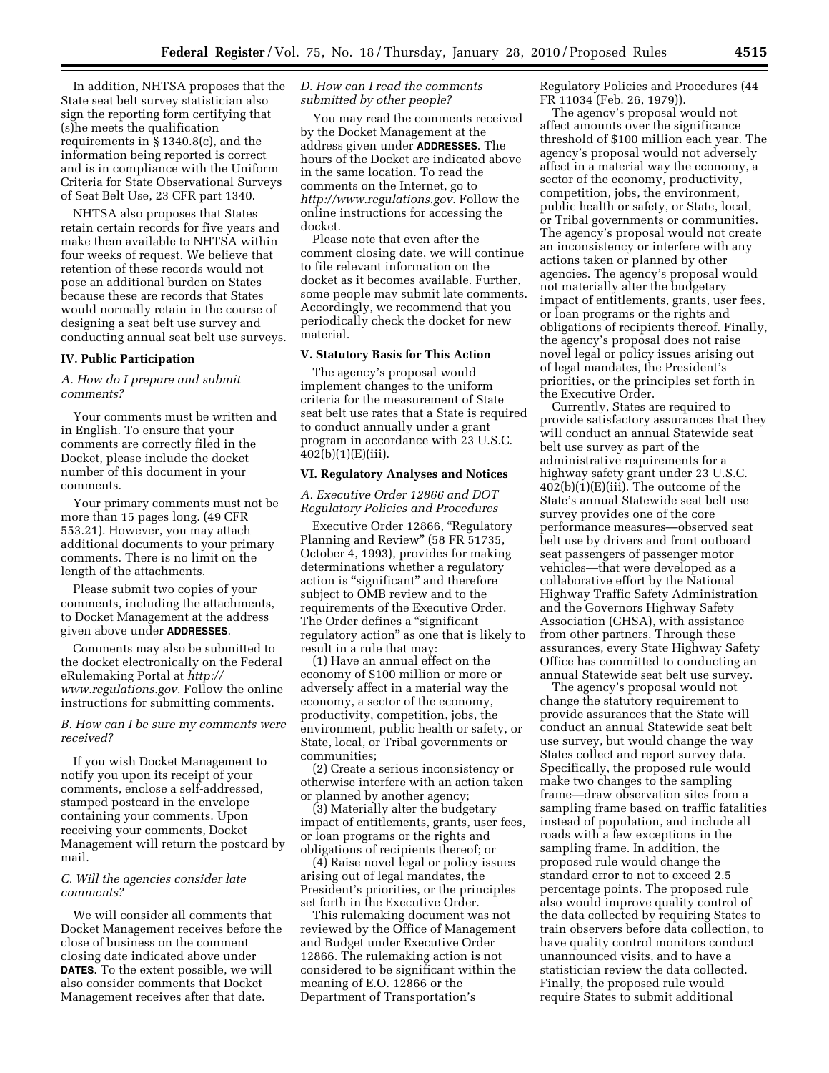In addition, NHTSA proposes that the State seat belt survey statistician also sign the reporting form certifying that (s)he meets the qualification requirements in § 1340.8(c), and the information being reported is correct and is in compliance with the Uniform Criteria for State Observational Surveys of Seat Belt Use, 23 CFR part 1340.

NHTSA also proposes that States retain certain records for five years and make them available to NHTSA within four weeks of request. We believe that retention of these records would not pose an additional burden on States because these are records that States would normally retain in the course of designing a seat belt use survey and conducting annual seat belt use surveys.

# **IV. Public Participation**

# *A. How do I prepare and submit comments?*

Your comments must be written and in English. To ensure that your comments are correctly filed in the Docket, please include the docket number of this document in your comments.

Your primary comments must not be more than 15 pages long. (49 CFR 553.21). However, you may attach additional documents to your primary comments. There is no limit on the length of the attachments.

Please submit two copies of your comments, including the attachments, to Docket Management at the address given above under **ADDRESSES**.

Comments may also be submitted to the docket electronically on the Federal eRulemaking Portal at *http:// www.regulations.gov.* Follow the online instructions for submitting comments.

*B. How can I be sure my comments were received?* 

If you wish Docket Management to notify you upon its receipt of your comments, enclose a self-addressed, stamped postcard in the envelope containing your comments. Upon receiving your comments, Docket Management will return the postcard by mail.

# *C. Will the agencies consider late comments?*

We will consider all comments that Docket Management receives before the close of business on the comment closing date indicated above under **DATES**. To the extent possible, we will also consider comments that Docket Management receives after that date.

# *D. How can I read the comments submitted by other people?*

You may read the comments received by the Docket Management at the address given under **ADDRESSES**. The hours of the Docket are indicated above in the same location. To read the comments on the Internet, go to *http://www.regulations.gov.* Follow the online instructions for accessing the docket.

Please note that even after the comment closing date, we will continue to file relevant information on the docket as it becomes available. Further, some people may submit late comments. Accordingly, we recommend that you periodically check the docket for new material.

# **V. Statutory Basis for This Action**

The agency's proposal would implement changes to the uniform criteria for the measurement of State seat belt use rates that a State is required to conduct annually under a grant program in accordance with 23 U.S.C. 402(b)(1)(E)(iii).

# **VI. Regulatory Analyses and Notices**

*A. Executive Order 12866 and DOT Regulatory Policies and Procedures* 

Executive Order 12866, ''Regulatory Planning and Review'' (58 FR 51735, October 4, 1993), provides for making determinations whether a regulatory action is "significant" and therefore subject to OMB review and to the requirements of the Executive Order. The Order defines a ''significant regulatory action'' as one that is likely to result in a rule that may:

(1) Have an annual effect on the economy of \$100 million or more or adversely affect in a material way the economy, a sector of the economy, productivity, competition, jobs, the environment, public health or safety, or State, local, or Tribal governments or communities;

(2) Create a serious inconsistency or otherwise interfere with an action taken or planned by another agency;

(3) Materially alter the budgetary impact of entitlements, grants, user fees, or loan programs or the rights and obligations of recipients thereof; or

(4) Raise novel legal or policy issues arising out of legal mandates, the President's priorities, or the principles set forth in the Executive Order.

This rulemaking document was not reviewed by the Office of Management and Budget under Executive Order 12866. The rulemaking action is not considered to be significant within the meaning of E.O. 12866 or the Department of Transportation's

Regulatory Policies and Procedures (44 FR 11034 (Feb. 26, 1979)).

The agency's proposal would not affect amounts over the significance threshold of \$100 million each year. The agency's proposal would not adversely affect in a material way the economy, a sector of the economy, productivity, competition, jobs, the environment, public health or safety, or State, local, or Tribal governments or communities. The agency's proposal would not create an inconsistency or interfere with any actions taken or planned by other agencies. The agency's proposal would not materially alter the budgetary impact of entitlements, grants, user fees, or loan programs or the rights and obligations of recipients thereof. Finally, the agency's proposal does not raise novel legal or policy issues arising out of legal mandates, the President's priorities, or the principles set forth in the Executive Order.

Currently, States are required to provide satisfactory assurances that they will conduct an annual Statewide seat belt use survey as part of the administrative requirements for a highway safety grant under 23 U.S.C.  $402(b)(1)(E)(iii)$ . The outcome of the State's annual Statewide seat belt use survey provides one of the core performance measures—observed seat belt use by drivers and front outboard seat passengers of passenger motor vehicles—that were developed as a collaborative effort by the National Highway Traffic Safety Administration and the Governors Highway Safety Association (GHSA), with assistance from other partners. Through these assurances, every State Highway Safety Office has committed to conducting an annual Statewide seat belt use survey.

The agency's proposal would not change the statutory requirement to provide assurances that the State will conduct an annual Statewide seat belt use survey, but would change the way States collect and report survey data. Specifically, the proposed rule would make two changes to the sampling frame—draw observation sites from a sampling frame based on traffic fatalities instead of population, and include all roads with a few exceptions in the sampling frame. In addition, the proposed rule would change the standard error to not to exceed 2.5 percentage points. The proposed rule also would improve quality control of the data collected by requiring States to train observers before data collection, to have quality control monitors conduct unannounced visits, and to have a statistician review the data collected. Finally, the proposed rule would require States to submit additional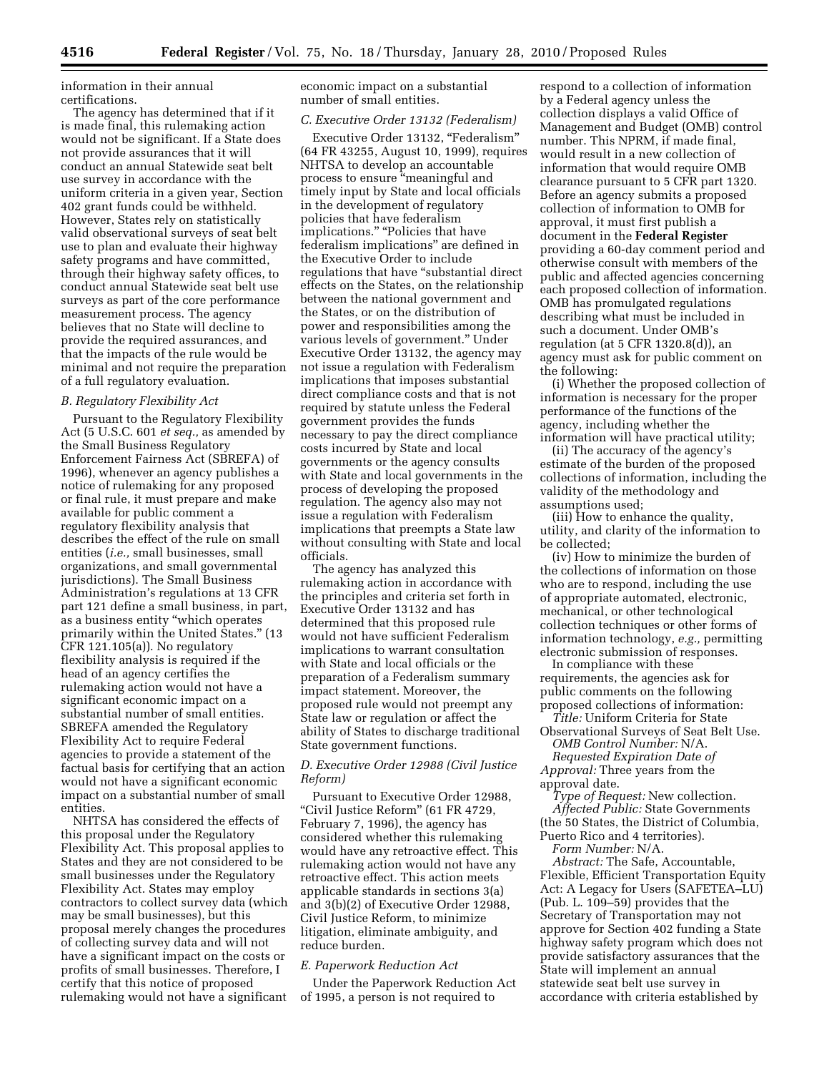information in their annual certifications.

The agency has determined that if it is made final, this rulemaking action would not be significant. If a State does not provide assurances that it will conduct an annual Statewide seat belt use survey in accordance with the uniform criteria in a given year, Section 402 grant funds could be withheld. However, States rely on statistically valid observational surveys of seat belt use to plan and evaluate their highway safety programs and have committed, through their highway safety offices, to conduct annual Statewide seat belt use surveys as part of the core performance measurement process. The agency believes that no State will decline to provide the required assurances, and that the impacts of the rule would be minimal and not require the preparation of a full regulatory evaluation.

# *B. Regulatory Flexibility Act*

Pursuant to the Regulatory Flexibility Act (5 U.S.C. 601 *et seq.,* as amended by the Small Business Regulatory Enforcement Fairness Act (SBREFA) of 1996), whenever an agency publishes a notice of rulemaking for any proposed or final rule, it must prepare and make available for public comment a regulatory flexibility analysis that describes the effect of the rule on small entities (*i.e.,* small businesses, small organizations, and small governmental jurisdictions). The Small Business Administration's regulations at 13 CFR part 121 define a small business, in part, as a business entity ''which operates primarily within the United States.'' (13 CFR 121.105(a)). No regulatory flexibility analysis is required if the head of an agency certifies the rulemaking action would not have a significant economic impact on a substantial number of small entities. SBREFA amended the Regulatory Flexibility Act to require Federal agencies to provide a statement of the factual basis for certifying that an action would not have a significant economic impact on a substantial number of small entities.

NHTSA has considered the effects of this proposal under the Regulatory Flexibility Act. This proposal applies to States and they are not considered to be small businesses under the Regulatory Flexibility Act. States may employ contractors to collect survey data (which may be small businesses), but this proposal merely changes the procedures of collecting survey data and will not have a significant impact on the costs or profits of small businesses. Therefore, I certify that this notice of proposed rulemaking would not have a significant

economic impact on a substantial number of small entities.

## *C. Executive Order 13132 (Federalism)*

Executive Order 13132, "Federalism" (64 FR 43255, August 10, 1999), requires NHTSA to develop an accountable process to ensure "meaningful and timely input by State and local officials in the development of regulatory policies that have federalism implications." "Policies that have federalism implications'' are defined in the Executive Order to include regulations that have "substantial direct effects on the States, on the relationship between the national government and the States, or on the distribution of power and responsibilities among the various levels of government.'' Under Executive Order 13132, the agency may not issue a regulation with Federalism implications that imposes substantial direct compliance costs and that is not required by statute unless the Federal government provides the funds necessary to pay the direct compliance costs incurred by State and local governments or the agency consults with State and local governments in the process of developing the proposed regulation. The agency also may not issue a regulation with Federalism implications that preempts a State law without consulting with State and local officials.

The agency has analyzed this rulemaking action in accordance with the principles and criteria set forth in Executive Order 13132 and has determined that this proposed rule would not have sufficient Federalism implications to warrant consultation with State and local officials or the preparation of a Federalism summary impact statement. Moreover, the proposed rule would not preempt any State law or regulation or affect the ability of States to discharge traditional State government functions.

# *D. Executive Order 12988 (Civil Justice Reform)*

Pursuant to Executive Order 12988, "Civil Justice Reform" (61 FR 4729, February 7, 1996), the agency has considered whether this rulemaking would have any retroactive effect. This rulemaking action would not have any retroactive effect. This action meets applicable standards in sections 3(a) and 3(b)(2) of Executive Order 12988, Civil Justice Reform, to minimize litigation, eliminate ambiguity, and reduce burden.

## *E. Paperwork Reduction Act*

Under the Paperwork Reduction Act of 1995, a person is not required to

respond to a collection of information by a Federal agency unless the collection displays a valid Office of Management and Budget (OMB) control number. This NPRM, if made final, would result in a new collection of information that would require OMB clearance pursuant to 5 CFR part 1320. Before an agency submits a proposed collection of information to OMB for approval, it must first publish a document in the **Federal Register**  providing a 60-day comment period and otherwise consult with members of the public and affected agencies concerning each proposed collection of information. OMB has promulgated regulations describing what must be included in such a document. Under OMB's regulation (at 5 CFR 1320.8(d)), an agency must ask for public comment on the following:

(i) Whether the proposed collection of information is necessary for the proper performance of the functions of the agency, including whether the information will have practical utility;

(ii) The accuracy of the agency's estimate of the burden of the proposed collections of information, including the validity of the methodology and assumptions used;

(iii) How to enhance the quality, utility, and clarity of the information to be collected;

(iv) How to minimize the burden of the collections of information on those who are to respond, including the use of appropriate automated, electronic, mechanical, or other technological collection techniques or other forms of information technology, *e.g.,* permitting electronic submission of responses.

In compliance with these requirements, the agencies ask for public comments on the following proposed collections of information: *Title:* Uniform Criteria for State

Observational Surveys of Seat Belt Use. *OMB Control Number:* N/A.

*Requested Expiration Date of Approval:* Three years from the approval date.

*Type of Request:* New collection. *Affected Public:* State Governments (the 50 States, the District of Columbia, Puerto Rico and 4 territories).

*Form Number:* N/A.

*Abstract:* The Safe, Accountable, Flexible, Efficient Transportation Equity Act: A Legacy for Users (SAFETEA–LU) (Pub. L. 109–59) provides that the Secretary of Transportation may not approve for Section 402 funding a State highway safety program which does not provide satisfactory assurances that the State will implement an annual statewide seat belt use survey in accordance with criteria established by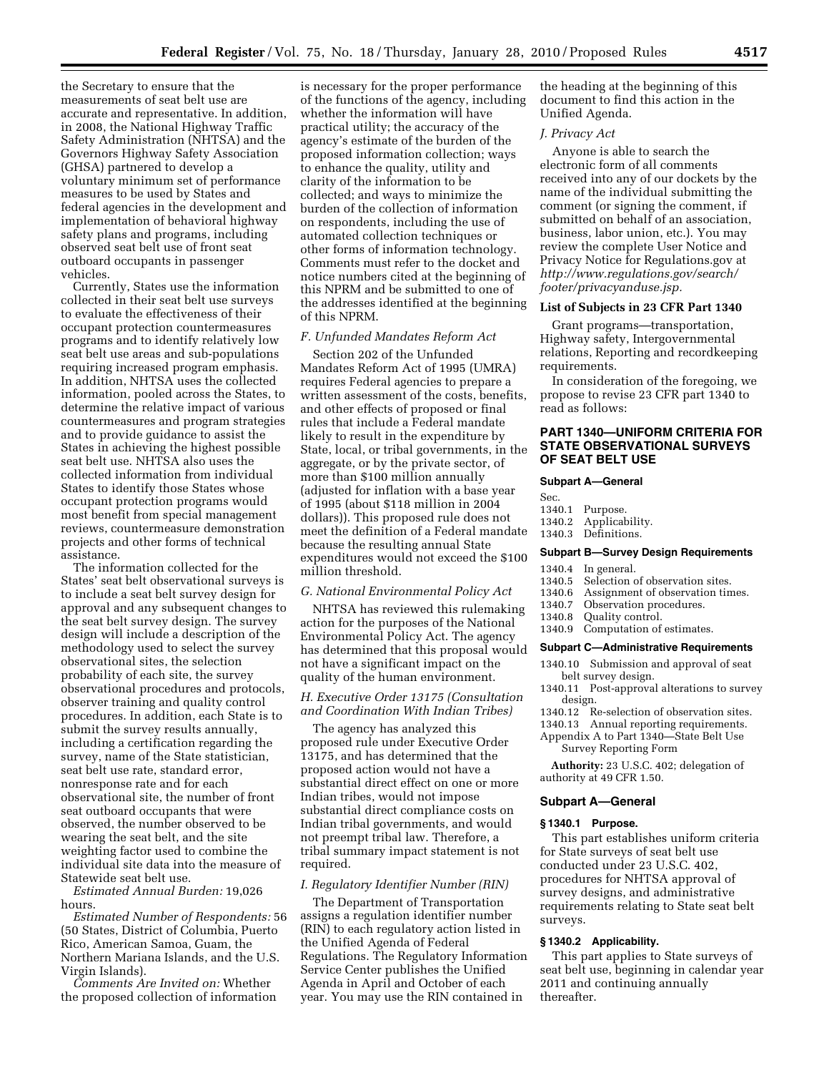the Secretary to ensure that the measurements of seat belt use are accurate and representative. In addition, in 2008, the National Highway Traffic Safety Administration (NHTSA) and the Governors Highway Safety Association (GHSA) partnered to develop a voluntary minimum set of performance measures to be used by States and federal agencies in the development and implementation of behavioral highway safety plans and programs, including observed seat belt use of front seat outboard occupants in passenger vehicles.

Currently, States use the information collected in their seat belt use surveys to evaluate the effectiveness of their occupant protection countermeasures programs and to identify relatively low seat belt use areas and sub-populations requiring increased program emphasis. In addition, NHTSA uses the collected information, pooled across the States, to determine the relative impact of various countermeasures and program strategies and to provide guidance to assist the States in achieving the highest possible seat belt use. NHTSA also uses the collected information from individual States to identify those States whose occupant protection programs would most benefit from special management reviews, countermeasure demonstration projects and other forms of technical assistance.

The information collected for the States' seat belt observational surveys is to include a seat belt survey design for approval and any subsequent changes to the seat belt survey design. The survey design will include a description of the methodology used to select the survey observational sites, the selection probability of each site, the survey observational procedures and protocols, observer training and quality control procedures. In addition, each State is to submit the survey results annually, including a certification regarding the survey, name of the State statistician, seat belt use rate, standard error, nonresponse rate and for each observational site, the number of front seat outboard occupants that were observed, the number observed to be wearing the seat belt, and the site weighting factor used to combine the individual site data into the measure of Statewide seat belt use.

*Estimated Annual Burden:* 19,026 hours.

*Estimated Number of Respondents:* 56 (50 States, District of Columbia, Puerto Rico, American Samoa, Guam, the Northern Mariana Islands, and the U.S. Virgin Islands).

*Comments Are Invited on:* Whether the proposed collection of information

is necessary for the proper performance of the functions of the agency, including whether the information will have practical utility; the accuracy of the agency's estimate of the burden of the proposed information collection; ways to enhance the quality, utility and clarity of the information to be collected; and ways to minimize the burden of the collection of information on respondents, including the use of automated collection techniques or other forms of information technology. Comments must refer to the docket and notice numbers cited at the beginning of this NPRM and be submitted to one of the addresses identified at the beginning of this NPRM.

# *F. Unfunded Mandates Reform Act*

Section 202 of the Unfunded Mandates Reform Act of 1995 (UMRA) requires Federal agencies to prepare a written assessment of the costs, benefits, and other effects of proposed or final rules that include a Federal mandate likely to result in the expenditure by State, local, or tribal governments, in the aggregate, or by the private sector, of more than \$100 million annually (adjusted for inflation with a base year of 1995 (about \$118 million in 2004 dollars)). This proposed rule does not meet the definition of a Federal mandate because the resulting annual State expenditures would not exceed the \$100 million threshold.

## *G. National Environmental Policy Act*

NHTSA has reviewed this rulemaking action for the purposes of the National Environmental Policy Act. The agency has determined that this proposal would not have a significant impact on the quality of the human environment.

# *H. Executive Order 13175 (Consultation and Coordination With Indian Tribes)*

The agency has analyzed this proposed rule under Executive Order 13175, and has determined that the proposed action would not have a substantial direct effect on one or more Indian tribes, would not impose substantial direct compliance costs on Indian tribal governments, and would not preempt tribal law. Therefore, a tribal summary impact statement is not required.

## *I. Regulatory Identifier Number (RIN)*

The Department of Transportation assigns a regulation identifier number (RIN) to each regulatory action listed in the Unified Agenda of Federal Regulations. The Regulatory Information Service Center publishes the Unified Agenda in April and October of each year. You may use the RIN contained in

the heading at the beginning of this document to find this action in the Unified Agenda.

# *J. Privacy Act*

Anyone is able to search the electronic form of all comments received into any of our dockets by the name of the individual submitting the comment (or signing the comment, if submitted on behalf of an association, business, labor union, etc.). You may review the complete User Notice and Privacy Notice for Regulations.gov at *http://www.regulations.gov/search/ footer/privacyanduse.jsp.* 

# **List of Subjects in 23 CFR Part 1340**

Grant programs—transportation, Highway safety, Intergovernmental relations, Reporting and recordkeeping requirements.

In consideration of the foregoing, we propose to revise 23 CFR part 1340 to read as follows:

# **PART 1340—UNIFORM CRITERIA FOR STATE OBSERVATIONAL SURVEYS OF SEAT BELT USE**

#### **Subpart A—General**

- Sec.
- 1340.1 Purpose.
- 1340.2 Applicability.<br>1340.3 Definitions.
- Definitions.

#### **Subpart B—Survey Design Requirements**

- 1340.4 In general.<br>1340.5 Selection
- Selection of observation sites.
- 1340.6 Assignment of observation times.<br>1340.7 Observation procedures.
- Observation procedures.
- 1340.8 Quality control.
- 1340.9 Computation of estimates.

#### **Subpart C—Administrative Requirements**

- 1340.10 Submission and approval of seat belt survey design.
- 1340.11 Post-approval alterations to survey design.
- 1340.12 Re-selection of observation sites.
- 1340.13 Annual reporting requirements.
- Appendix A to Part 1340—State Belt Use Survey Reporting Form

**Authority:** 23 U.S.C. 402; delegation of authority at 49 CFR 1.50.

## **Subpart A—General**

### **§ 1340.1 Purpose.**

This part establishes uniform criteria for State surveys of seat belt use conducted under 23 U.S.C. 402, procedures for NHTSA approval of survey designs, and administrative requirements relating to State seat belt surveys.

# **§ 1340.2 Applicability.**

This part applies to State surveys of seat belt use, beginning in calendar year 2011 and continuing annually thereafter.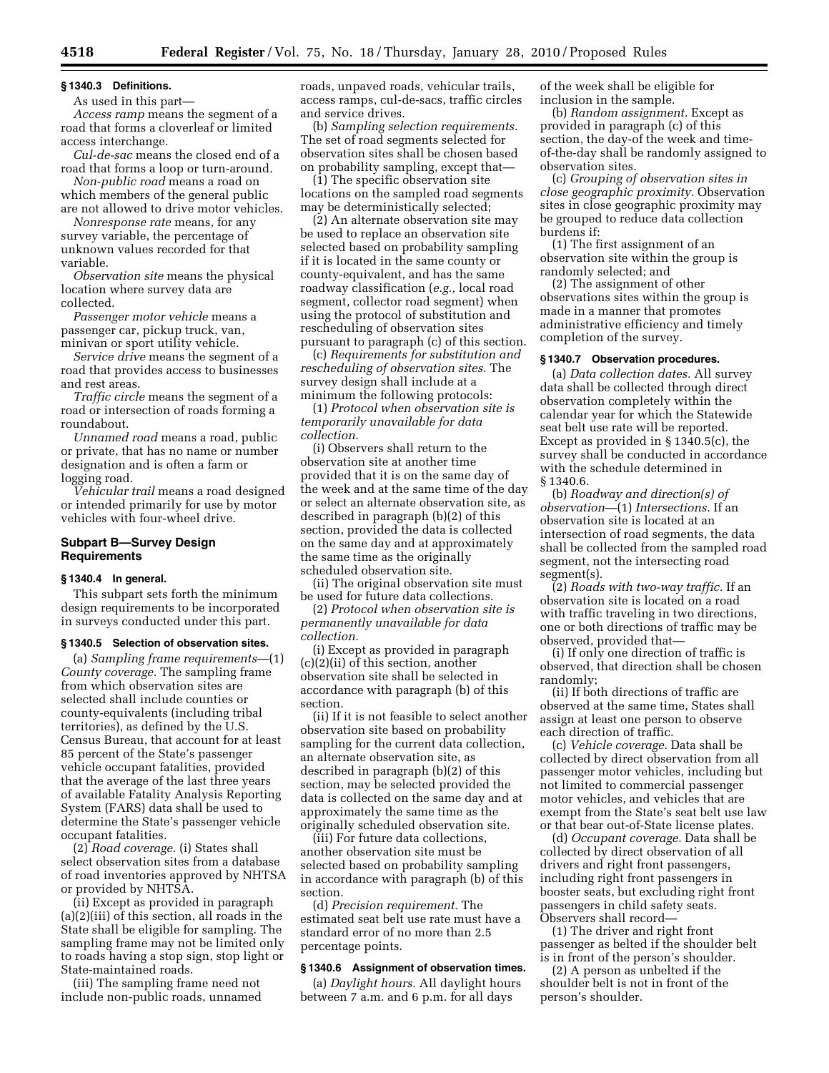# **§ 1340.3 Definitions.**

As used in this part—

*Access ramp* means the segment of a road that forms a cloverleaf or limited access interchange.

*Cul-de-sac* means the closed end of a road that forms a loop or turn-around.

*Non-public road* means a road on which members of the general public are not allowed to drive motor vehicles.

*Nonresponse rate* means, for any survey variable, the percentage of unknown values recorded for that variable.

*Observation site* means the physical location where survey data are collected.

*Passenger motor vehicle* means a passenger car, pickup truck, van, minivan or sport utility vehicle.

*Service drive* means the segment of a road that provides access to businesses and rest areas.

*Traffic circle* means the segment of a road or intersection of roads forming a roundabout.

*Unnamed road* means a road, public or private, that has no name or number designation and is often a farm or logging road.

*Vehicular trail* means a road designed or intended primarily for use by motor vehicles with four-wheel drive.

# **Subpart B—Survey Design Requirements**

## **§ 1340.4 In general.**

This subpart sets forth the minimum design requirements to be incorporated in surveys conducted under this part.

#### **§ 1340.5 Selection of observation sites.**

(a) *Sampling frame requirements*—(1) *County coverage.* The sampling frame from which observation sites are selected shall include counties or county-equivalents (including tribal territories), as defined by the U.S. Census Bureau, that account for at least 85 percent of the State's passenger vehicle occupant fatalities, provided that the average of the last three years of available Fatality Analysis Reporting System (FARS) data shall be used to determine the State's passenger vehicle occupant fatalities.

(2) *Road coverage.* (i) States shall select observation sites from a database of road inventories approved by NHTSA or provided by NHTSA.

(ii) Except as provided in paragraph (a)(2)(iii) of this section, all roads in the State shall be eligible for sampling. The sampling frame may not be limited only to roads having a stop sign, stop light or State-maintained roads.

(iii) The sampling frame need not include non-public roads, unnamed roads, unpaved roads, vehicular trails, access ramps, cul-de-sacs, traffic circles and service drives.

(b) *Sampling selection requirements.*  The set of road segments selected for observation sites shall be chosen based on probability sampling, except that—

(1) The specific observation site locations on the sampled road segments may be deterministically selected;

(2) An alternate observation site may be used to replace an observation site selected based on probability sampling if it is located in the same county or county-equivalent, and has the same roadway classification (*e.g.,* local road segment, collector road segment) when using the protocol of substitution and rescheduling of observation sites pursuant to paragraph (c) of this section.

(c) *Requirements for substitution and rescheduling of observation sites.* The survey design shall include at a minimum the following protocols:

(1) *Protocol when observation site is temporarily unavailable for data collection.* 

(i) Observers shall return to the observation site at another time provided that it is on the same day of the week and at the same time of the day or select an alternate observation site, as described in paragraph (b)(2) of this section, provided the data is collected on the same day and at approximately the same time as the originally scheduled observation site.

(ii) The original observation site must be used for future data collections.

(2) *Protocol when observation site is permanently unavailable for data collection.* 

(i) Except as provided in paragraph (c)(2)(ii) of this section, another observation site shall be selected in accordance with paragraph (b) of this section.

(ii) If it is not feasible to select another observation site based on probability sampling for the current data collection, an alternate observation site, as described in paragraph (b)(2) of this section, may be selected provided the data is collected on the same day and at approximately the same time as the originally scheduled observation site.

(iii) For future data collections, another observation site must be selected based on probability sampling in accordance with paragraph (b) of this section.

(d) *Precision requirement.* The estimated seat belt use rate must have a standard error of no more than 2.5 percentage points.

# **§ 1340.6 Assignment of observation times.**

(a) *Daylight hours.* All daylight hours between 7 a.m. and 6 p.m. for all days

of the week shall be eligible for inclusion in the sample.

(b) *Random assignment.* Except as provided in paragraph (c) of this section, the day-of the week and timeof-the-day shall be randomly assigned to observation sites.

(c) *Grouping of observation sites in close geographic proximity.* Observation sites in close geographic proximity may be grouped to reduce data collection burdens if:

(1) The first assignment of an observation site within the group is randomly selected; and

(2) The assignment of other observations sites within the group is made in a manner that promotes administrative efficiency and timely completion of the survey.

### **§ 1340.7 Observation procedures.**

(a) *Data collection dates.* All survey data shall be collected through direct observation completely within the calendar year for which the Statewide seat belt use rate will be reported. Except as provided in § 1340.5(c), the survey shall be conducted in accordance with the schedule determined in § 1340.6.

(b) *Roadway and direction(s) of observation*—(1) *Intersections.* If an observation site is located at an intersection of road segments, the data shall be collected from the sampled road segment, not the intersecting road segment(s).

(2) *Roads with two-way traffic.* If an observation site is located on a road with traffic traveling in two directions, one or both directions of traffic may be observed, provided that—

(i) If only one direction of traffic is observed, that direction shall be chosen randomly;

(ii) If both directions of traffic are observed at the same time, States shall assign at least one person to observe each direction of traffic.

(c) *Vehicle coverage.* Data shall be collected by direct observation from all passenger motor vehicles, including but not limited to commercial passenger motor vehicles, and vehicles that are exempt from the State's seat belt use law or that bear out-of-State license plates.

(d) *Occupant coverage.* Data shall be collected by direct observation of all drivers and right front passengers, including right front passengers in booster seats, but excluding right front passengers in child safety seats. Observers shall record—

(1) The driver and right front passenger as belted if the shoulder belt is in front of the person's shoulder.

(2) A person as unbelted if the shoulder belt is not in front of the person's shoulder.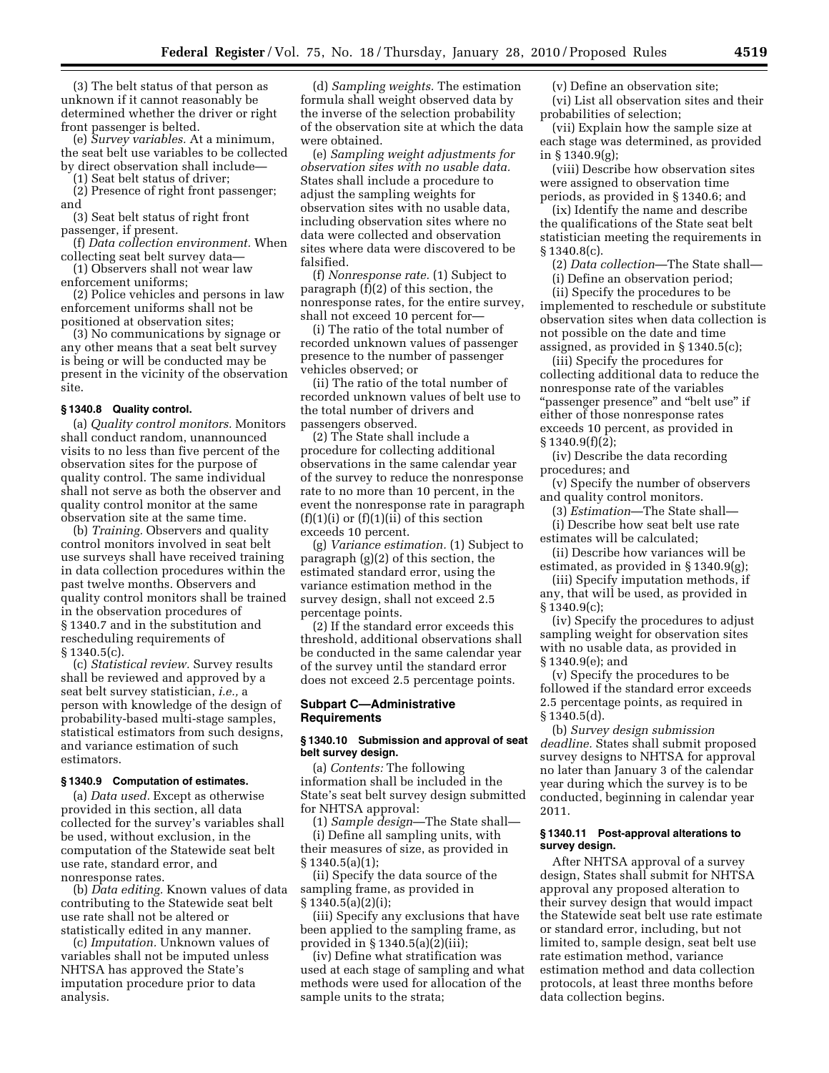(3) The belt status of that person as unknown if it cannot reasonably be determined whether the driver or right front passenger is belted.

(e) *Survey variables.* At a minimum, the seat belt use variables to be collected by direct observation shall include—

(1) Seat belt status of driver;

(2) Presence of right front passenger; and

(3) Seat belt status of right front passenger, if present.

(f) *Data collection environment.* When collecting seat belt survey data—

(1) Observers shall not wear law enforcement uniforms;

(2) Police vehicles and persons in law enforcement uniforms shall not be positioned at observation sites;

(3) No communications by signage or any other means that a seat belt survey is being or will be conducted may be present in the vicinity of the observation site.

#### **§ 1340.8 Quality control.**

(a) *Quality control monitors.* Monitors shall conduct random, unannounced visits to no less than five percent of the observation sites for the purpose of quality control. The same individual shall not serve as both the observer and quality control monitor at the same observation site at the same time.

(b) *Training.* Observers and quality control monitors involved in seat belt use surveys shall have received training in data collection procedures within the past twelve months. Observers and quality control monitors shall be trained in the observation procedures of § 1340.7 and in the substitution and rescheduling requirements of § 1340.5(c).

(c) *Statistical review.* Survey results shall be reviewed and approved by a seat belt survey statistician, *i.e.,* a person with knowledge of the design of probability-based multi-stage samples, statistical estimators from such designs, and variance estimation of such estimators.

## **§ 1340.9 Computation of estimates.**

(a) *Data used.* Except as otherwise provided in this section, all data collected for the survey's variables shall be used, without exclusion, in the computation of the Statewide seat belt use rate, standard error, and nonresponse rates.

(b) *Data editing.* Known values of data contributing to the Statewide seat belt use rate shall not be altered or statistically edited in any manner.

(c) *Imputation.* Unknown values of variables shall not be imputed unless NHTSA has approved the State's imputation procedure prior to data analysis.

(d) *Sampling weights.* The estimation formula shall weight observed data by the inverse of the selection probability of the observation site at which the data were obtained.

(e) *Sampling weight adjustments for observation sites with no usable data.*  States shall include a procedure to adjust the sampling weights for observation sites with no usable data, including observation sites where no data were collected and observation sites where data were discovered to be falsified.

(f) *Nonresponse rate.* (1) Subject to paragraph (f)(2) of this section, the nonresponse rates, for the entire survey, shall not exceed 10 percent for—

(i) The ratio of the total number of recorded unknown values of passenger presence to the number of passenger vehicles observed; or

(ii) The ratio of the total number of recorded unknown values of belt use to the total number of drivers and passengers observed.

(2) The State shall include a procedure for collecting additional observations in the same calendar year of the survey to reduce the nonresponse rate to no more than 10 percent, in the event the nonresponse rate in paragraph  $(f)(1)(i)$  or  $(f)(1)(ii)$  of this section exceeds 10 percent.

(g) *Variance estimation.* (1) Subject to paragraph (g)(2) of this section, the estimated standard error, using the variance estimation method in the survey design, shall not exceed 2.5 percentage points.

(2) If the standard error exceeds this threshold, additional observations shall be conducted in the same calendar year of the survey until the standard error does not exceed 2.5 percentage points.

## **Subpart C—Administrative Requirements**

## **§ 1340.10 Submission and approval of seat belt survey design.**

(a) *Contents:* The following information shall be included in the State's seat belt survey design submitted for NHTSA approval:

(1) *Sample design*—The State shall— (i) Define all sampling units, with their measures of size, as provided in § 1340.5(a)(1);

(ii) Specify the data source of the sampling frame, as provided in § 1340.5(a)(2)(i);

(iii) Specify any exclusions that have been applied to the sampling frame, as provided in § 1340.5(a)(2)(iii);

(iv) Define what stratification was used at each stage of sampling and what methods were used for allocation of the sample units to the strata;

(v) Define an observation site; (vi) List all observation sites and their probabilities of selection;

(vii) Explain how the sample size at each stage was determined, as provided in § 1340.9(g);

(viii) Describe how observation sites were assigned to observation time periods, as provided in § 1340.6; and

(ix) Identify the name and describe the qualifications of the State seat belt statistician meeting the requirements in § 1340.8(c).

(2) *Data collection*—The State shall— (i) Define an observation period;

(ii) Specify the procedures to be implemented to reschedule or substitute observation sites when data collection is not possible on the date and time assigned, as provided in § 1340.5(c);

(iii) Specify the procedures for collecting additional data to reduce the nonresponse rate of the variables ''passenger presence'' and ''belt use'' if either of those nonresponse rates exceeds 10 percent, as provided in  $§ 1340.9(f)(2);$ 

(iv) Describe the data recording procedures; and

(v) Specify the number of observers and quality control monitors.

(3) *Estimation*—The State shall—

(i) Describe how seat belt use rate estimates will be calculated;

(ii) Describe how variances will be estimated, as provided in § 1340.9(g);

(iii) Specify imputation methods, if any, that will be used, as provided in § 1340.9(c);

(iv) Specify the procedures to adjust sampling weight for observation sites with no usable data, as provided in § 1340.9(e); and

(v) Specify the procedures to be followed if the standard error exceeds 2.5 percentage points, as required in § 1340.5(d).

(b) *Survey design submission deadline.* States shall submit proposed survey designs to NHTSA for approval no later than January 3 of the calendar year during which the survey is to be conducted, beginning in calendar year 2011.

# **§ 1340.11 Post-approval alterations to survey design.**

After NHTSA approval of a survey design, States shall submit for NHTSA approval any proposed alteration to their survey design that would impact the Statewide seat belt use rate estimate or standard error, including, but not limited to, sample design, seat belt use rate estimation method, variance estimation method and data collection protocols, at least three months before data collection begins.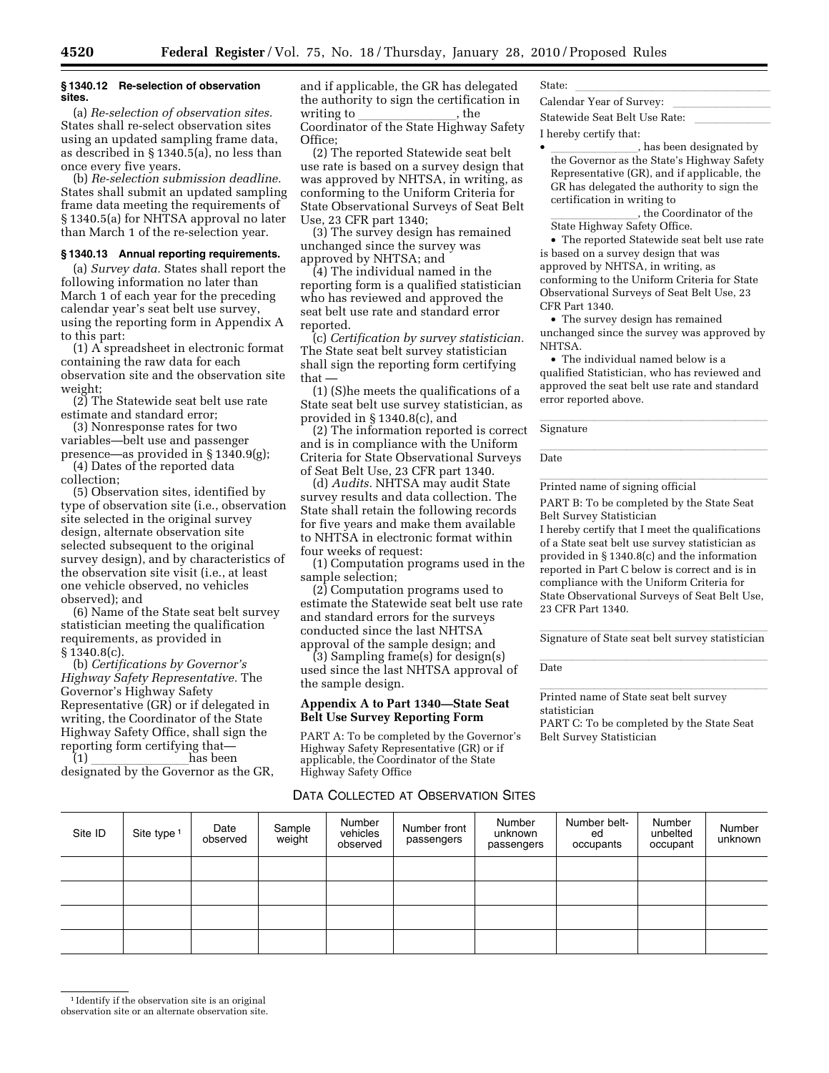## **§ 1340.12 Re-selection of observation sites.**

(a) *Re-selection of observation sites.*  States shall re-select observation sites using an updated sampling frame data, as described in § 1340.5(a), no less than once every five years.

(b) *Re-selection submission deadline.*  States shall submit an updated sampling frame data meeting the requirements of § 1340.5(a) for NHTSA approval no later than March 1 of the re-selection year.

# **§ 1340.13 Annual reporting requirements.**

(a) *Survey data.* States shall report the following information no later than March 1 of each year for the preceding calendar year's seat belt use survey, using the reporting form in Appendix A to this part:

(1) A spreadsheet in electronic format containing the raw data for each observation site and the observation site weight;

(2) The Statewide seat belt use rate estimate and standard error;

(3) Nonresponse rates for two variables—belt use and passenger presence—as provided in § 1340.9(g);

(4) Dates of the reported data collection;

(5) Observation sites, identified by type of observation site (i.e., observation site selected in the original survey design, alternate observation site selected subsequent to the original survey design), and by characteristics of the observation site visit (i.e., at least one vehicle observed, no vehicles observed); and

(6) Name of the State seat belt survey statistician meeting the qualification requirements, as provided in § 1340.8(c).

(b) *Certifications by Governor's Highway Safety Representative.* The Governor's Highway Safety Representative (GR) or if delegated in writing, the Coordinator of the State Highway Safety Office, shall sign the reporting form certifying that—<br>(1) has been

(1) llllllllhas been designated by the Governor as the GR,

and if applicable, the GR has delegated the authority to sign the certification in writing to \_\_\_\_\_\_\_\_\_\_\_\_\_\_\_\_, the<br>Coordinator of the State Highway Safety Office;

(2) The reported Statewide seat belt use rate is based on a survey design that was approved by NHTSA, in writing, as conforming to the Uniform Criteria for State Observational Surveys of Seat Belt Use, 23 CFR part 1340;

(3) The survey design has remained unchanged since the survey was approved by NHTSA; and

(4) The individual named in the reporting form is a qualified statistician who has reviewed and approved the seat belt use rate and standard error reported.

(c) *Certification by survey statistician.*  The State seat belt survey statistician shall sign the reporting form certifying that —

(1) (S)he meets the qualifications of a State seat belt use survey statistician, as provided in § 1340.8(c), and

(2) The information reported is correct and is in compliance with the Uniform Criteria for State Observational Surveys of Seat Belt Use, 23 CFR part 1340.

(d) *Audits.* NHTSA may audit State survey results and data collection. The State shall retain the following records for five years and make them available to NHTSA in electronic format within four weeks of request:

(1) Computation programs used in the sample selection;

(2) Computation programs used to estimate the Statewide seat belt use rate and standard errors for the surveys conducted since the last NHTSA approval of the sample design; and

(3) Sampling frame(s) for design(s) used since the last NHTSA approval of the sample design.

# **Appendix A to Part 1340—State Seat Belt Use Survey Reporting Form**

PART A: To be completed by the Governor's Highway Safety Representative (GR) or if applicable, the Coordinator of the State Highway Safety Office

# DATA COLLECTED AT OBSERVATION SITES

State:<br>Calculations of Calculations Calendar Year of Survey: lllllllll Statewide Seat Belt Use Rate:

I hereby certify that:

 $\bullet$   $\overline{\phantom{a}}$  has been designated by the Governor as the State's Highway Safety Representative (GR), and if applicable, the GR has delegated the authority to sign the certification in writing to

, the Coordinator of the State Highway Safety Office.

• The reported Statewide seat belt use rate is based on a survey design that was approved by NHTSA, in writing, as conforming to the Uniform Criteria for State Observational Surveys of Seat Belt Use, 23 CFR Part 1340.

• The survey design has remained unchanged since the survey was approved by NHTSA.

• The individual named below is a qualified Statistician, who has reviewed and approved the seat belt use rate and standard error reported above.

lle Signature and the Signature of the Signature of the Signature of the Signature of the Signature of the Signature

llalla<br>Data Date

Printed name of signing official

PART B: To be completed by the State Seat Belt Survey Statistician

I hereby certify that I meet the qualifications of a State seat belt use survey statistician as provided in § 1340.8(c) and the information reported in Part C below is correct and is in compliance with the Uniform Criteria for State Observational Surveys of Seat Belt Use, 23 CFR Part 1340.

Signature of State seat belt survey statistician

llalla llillla suomen kuningas ta kuningas ta kuningas ta kuningas ta kuningas ta kuningas ta kuningas ta kuni<br>Data Date

Printed name of State seat belt survey statistician

PART C: To be completed by the State Seat Belt Survey Statistician

| Site ID | Site type 1 | Date<br>observed | Sample<br>weight | Number<br>vehicles<br>observed | Number front<br>passengers | Number<br>unknown<br>passengers | Number belt-<br>ed<br>occupants | Number<br>unbelted<br>occupant | Number<br>unknown |
|---------|-------------|------------------|------------------|--------------------------------|----------------------------|---------------------------------|---------------------------------|--------------------------------|-------------------|
|         |             |                  |                  |                                |                            |                                 |                                 |                                |                   |
|         |             |                  |                  |                                |                            |                                 |                                 |                                |                   |
|         |             |                  |                  |                                |                            |                                 |                                 |                                |                   |
|         |             |                  |                  |                                |                            |                                 |                                 |                                |                   |

<sup>1</sup> Identify if the observation site is an original observation site or an alternate observation site.